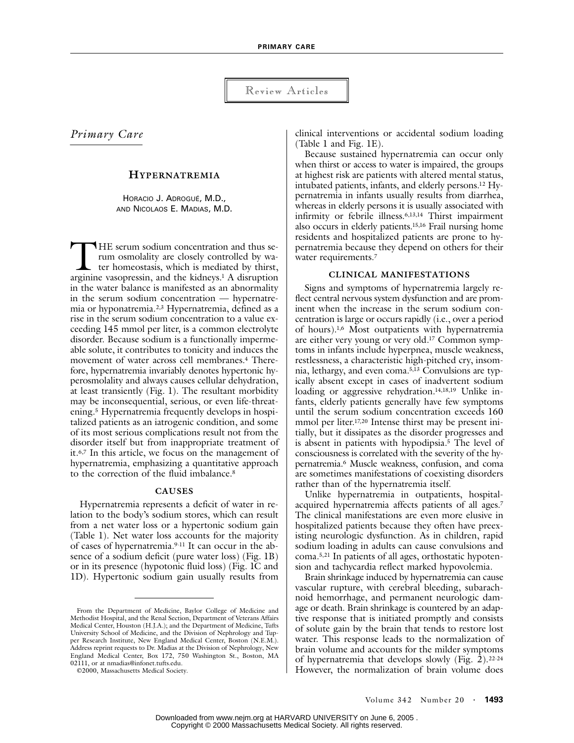Review Articles

*Primary Care*

# **HYPERNATREMIA**

HORACIO J. ADROGUÉ, M.D., AND NICOLAOS E. MADIAS, M.D.

HE serum sodium concentration and thus serum osmolality are closely controlled by water homeostasis, which is mediated by thirst, THE serum sodium concentration and thus serum osmolality are closely controlled by water homeostasis, which is mediated by thirst, arginine vasopressin, and the kidneys.<sup>1</sup> A disruption in the water balance is manifested as an abnormality in the serum sodium concentration — hypernatremia or hyponatremia.2,3 Hypernatremia, defined as a rise in the serum sodium concentration to a value exceeding 145 mmol per liter, is a common electrolyte disorder. Because sodium is a functionally impermeable solute, it contributes to tonicity and induces the movement of water across cell membranes.4 Therefore, hypernatremia invariably denotes hypertonic hyperosmolality and always causes cellular dehydration, at least transiently (Fig. 1). The resultant morbidity may be inconsequential, serious, or even life-threatening.5 Hypernatremia frequently develops in hospitalized patients as an iatrogenic condition, and some of its most serious complications result not from the disorder itself but from inappropriate treatment of it.6,7 In this article, we focus on the management of hypernatremia, emphasizing a quantitative approach to the correction of the fluid imbalance.8

## **CAUSES**

Hypernatremia represents a deficit of water in relation to the body's sodium stores, which can result from a net water loss or a hypertonic sodium gain (Table 1). Net water loss accounts for the majority of cases of hypernatremia.9-11 It can occur in the absence of a sodium deficit (pure water loss) (Fig. 1B) or in its presence (hypotonic fluid loss) (Fig. 1C and 1D). Hypertonic sodium gain usually results from

clinical interventions or accidental sodium loading (Table 1 and Fig. 1E).

Because sustained hypernatremia can occur only when thirst or access to water is impaired, the groups at highest risk are patients with altered mental status, intubated patients, infants, and elderly persons.12 Hypernatremia in infants usually results from diarrhea, whereas in elderly persons it is usually associated with infirmity or febrile illness.6,13,14 Thirst impairment also occurs in elderly patients.15,16 Frail nursing home residents and hospitalized patients are prone to hypernatremia because they depend on others for their water requirements.<sup>7</sup>

## **CLINICAL MANIFESTATIONS**

Signs and symptoms of hypernatremia largely reflect central nervous system dysfunction and are prominent when the increase in the serum sodium concentration is large or occurs rapidly (i.e., over a period of hours).1,6 Most outpatients with hypernatremia are either very young or very old.17 Common symptoms in infants include hyperpnea, muscle weakness, restlessness, a characteristic high-pitched cry, insomnia, lethargy, and even coma.5,13 Convulsions are typically absent except in cases of inadvertent sodium loading or aggressive rehydration.14,18,19 Unlike infants, elderly patients generally have few symptoms until the serum sodium concentration exceeds 160 mmol per liter.<sup>17,20</sup> Intense thirst may be present initially, but it dissipates as the disorder progresses and is absent in patients with hypodipsia.5 The level of consciousness is correlated with the severity of the hypernatremia.6 Muscle weakness, confusion, and coma are sometimes manifestations of coexisting disorders rather than of the hypernatremia itself.

Unlike hypernatremia in outpatients, hospitalacquired hypernatremia affects patients of all ages.7 The clinical manifestations are even more elusive in hospitalized patients because they often have preexisting neurologic dysfunction. As in children, rapid sodium loading in adults can cause convulsions and coma.5,21 In patients of all ages, orthostatic hypotension and tachycardia reflect marked hypovolemia.

Brain shrinkage induced by hypernatremia can cause vascular rupture, with cerebral bleeding, subarachnoid hemorrhage, and permanent neurologic damage or death. Brain shrinkage is countered by an adaptive response that is initiated promptly and consists of solute gain by the brain that tends to restore lost water. This response leads to the normalization of brain volume and accounts for the milder symptoms of hypernatremia that develops slowly (Fig. 2).22-24 However, the normalization of brain volume does

From the Department of Medicine, Baylor College of Medicine and Methodist Hospital, and the Renal Section, Department of Veterans Affairs Medical Center, Houston (H.J.A.); and the Department of Medicine, Tufts University School of Medicine, and the Division of Nephrology and Tupper Research Institute, New England Medical Center, Boston (N.E.M.). Address reprint requests to Dr. Madias at the Division of Nephrology, New England Medical Center, Box 172, 750 Washington St., Boston, MA 02111, or at nmadias@infonet.tufts.edu.

<sup>©2000,</sup> Massachusetts Medical Society.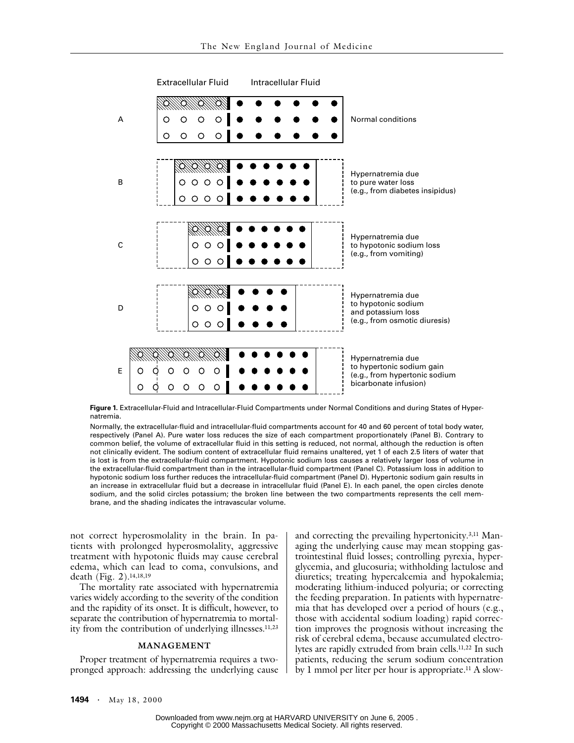

**Figure 1.** Extracellular-Fluid and Intracellular-Fluid Compartments under Normal Conditions and during States of Hypernatremia.

Normally, the extracellular-fluid and intracellular-fluid compartments account for 40 and 60 percent of total body water, respectively (Panel A). Pure water loss reduces the size of each compartment proportionately (Panel B). Contrary to common belief, the volume of extracellular fluid in this setting is reduced, not normal, although the reduction is often not clinically evident. The sodium content of extracellular fluid remains unaltered, yet 1 of each 2.5 liters of water that is lost is from the extracellular-fluid compartment. Hypotonic sodium loss causes a relatively larger loss of volume in the extracellular-fluid compartment than in the intracellular-fluid compartment (Panel C). Potassium loss in addition to hypotonic sodium loss further reduces the intracellular-fluid compartment (Panel D). Hypertonic sodium gain results in an increase in extracellular fluid but a decrease in intracellular fluid (Panel E). In each panel, the open circles denote sodium, and the solid circles potassium; the broken line between the two compartments represents the cell membrane, and the shading indicates the intravascular volume.

not correct hyperosmolality in the brain. In patients with prolonged hyperosmolality, aggressive treatment with hypotonic fluids may cause cerebral edema, which can lead to coma, convulsions, and death (Fig. 2).14,18,19

The mortality rate associated with hypernatremia varies widely according to the severity of the condition and the rapidity of its onset. It is difficult, however, to separate the contribution of hypernatremia to mortality from the contribution of underlying illnesses.<sup>11,23</sup>

# **MANAGEMENT**

Proper treatment of hypernatremia requires a twopronged approach: addressing the underlying cause and correcting the prevailing hypertonicity.3,11 Managing the underlying cause may mean stopping gastrointestinal fluid losses; controlling pyrexia, hyperglycemia, and glucosuria; withholding lactulose and diuretics; treating hypercalcemia and hypokalemia; moderating lithium-induced polyuria; or correcting the feeding preparation. In patients with hypernatremia that has developed over a period of hours (e.g., those with accidental sodium loading) rapid correction improves the prognosis without increasing the risk of cerebral edema, because accumulated electrolytes are rapidly extruded from brain cells.11,22 In such patients, reducing the serum sodium concentration by 1 mmol per liter per hour is appropriate.11 A slow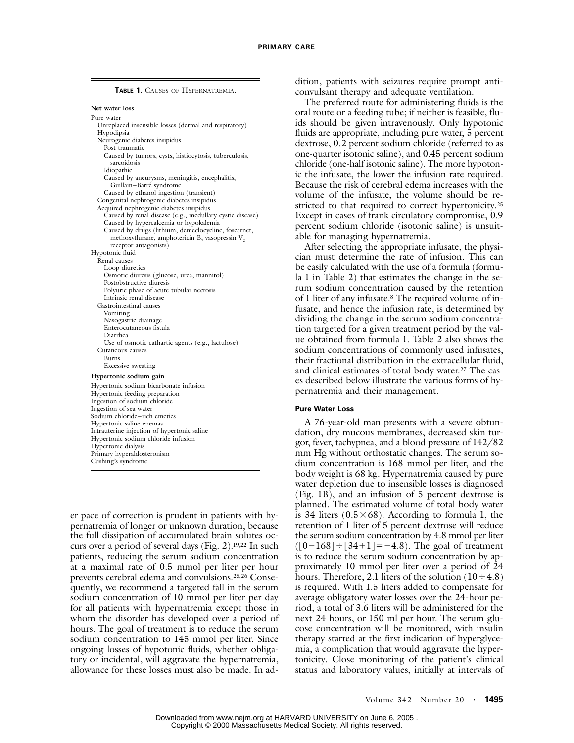**TABLE 1.** CAUSES OF HYPERNATREMIA.

| Net water loss |  |
|----------------|--|
|                |  |

Pure water Unreplaced insensible losses (dermal and respiratory) Hypodipsia Neurogenic diabetes insipidus Post-traumatic Caused by tumors, cysts, histiocytosis, tuberculosis, sarcoidosis Idiopathic Caused by aneurysms, meningitis, encephalitis, Guillain–Barré syndrome Caused by ethanol ingestion (transient) Congenital nephrogenic diabetes insipidus Acquired nephrogenic diabetes insipidus Caused by renal disease (e.g., medullary cystic disease) Caused by hypercalcemia or hypokalemia Caused by drugs (lithium, demeclocycline, foscarnet, methoxyflurane, amphotericin B, vasopressin V<sub>2</sub>receptor antagonists) Hypotonic fluid Renal causes Loop diuretics Osmotic diuresis (glucose, urea, mannitol) Postobstructive diuresis Polyuric phase of acute tubular necrosis Intrinsic renal disease Gastrointestinal causes Vomiting Nasogastric drainage Enterocutaneous fistula Diarrhea Use of osmotic cathartic agents (e.g., lactulose) Cutaneous causes Burns Excessive sweating **Hypertonic sodium gain** Hypertonic sodium bicarbonate infusion Hypertonic feeding preparation Ingestion of sodium chloride Ingestion of sea water Sodium chloride–rich emetics Hypertonic saline enemas Intrauterine injection of hypertonic saline Hypertonic sodium chloride infusion Hypertonic dialysis Primary hyperaldosteronism Cushing's syndrome

er pace of correction is prudent in patients with hypernatremia of longer or unknown duration, because the full dissipation of accumulated brain solutes occurs over a period of several days (Fig. 2).19,22 In such patients, reducing the serum sodium concentration at a maximal rate of 0.5 mmol per liter per hour prevents cerebral edema and convulsions.25,26 Consequently, we recommend a targeted fall in the serum sodium concentration of 10 mmol per liter per day for all patients with hypernatremia except those in whom the disorder has developed over a period of hours. The goal of treatment is to reduce the serum sodium concentration to 145 mmol per liter. Since ongoing losses of hypotonic fluids, whether obligatory or incidental, will aggravate the hypernatremia, allowance for these losses must also be made. In addition, patients with seizures require prompt anticonvulsant therapy and adequate ventilation.

The preferred route for administering fluids is the oral route or a feeding tube; if neither is feasible, fluids should be given intravenously. Only hypotonic fluids are appropriate, including pure water, 5 percent dextrose, 0.2 percent sodium chloride (referred to as one-quarter isotonic saline), and 0.45 percent sodium chloride (one-half isotonic saline). The more hypotonic the infusate, the lower the infusion rate required. Because the risk of cerebral edema increases with the volume of the infusate, the volume should be restricted to that required to correct hypertonicity.<sup>25</sup> Except in cases of frank circulatory compromise, 0.9 percent sodium chloride (isotonic saline) is unsuitable for managing hypernatremia.

After selecting the appropriate infusate, the physician must determine the rate of infusion. This can be easily calculated with the use of a formula (formula 1 in Table 2) that estimates the change in the serum sodium concentration caused by the retention of 1 liter of any infusate.8 The required volume of infusate, and hence the infusion rate, is determined by dividing the change in the serum sodium concentration targeted for a given treatment period by the value obtained from formula 1. Table 2 also shows the sodium concentrations of commonly used infusates, their fractional distribution in the extracellular fluid, and clinical estimates of total body water.27 The cases described below illustrate the various forms of hypernatremia and their management.

## **Pure Water Loss**

A 76-year-old man presents with a severe obtundation, dry mucous membranes, decreased skin turgor, fever, tachypnea, and a blood pressure of 142/82 mm Hg without orthostatic changes. The serum sodium concentration is 168 mmol per liter, and the body weight is 68 kg. Hypernatremia caused by pure water depletion due to insensible losses is diagnosed (Fig. 1B), and an infusion of 5 percent dextrose is planned. The estimated volume of total body water is 34 liters  $(0.5 \times 68)$ . According to formula 1, the retention of 1 liter of 5 percent dextrose will reduce the serum sodium concentration by 4.8 mmol per liter  $([0-168] \div [34+1]=-4.8)$ . The goal of treatment is to reduce the serum sodium concentration by approximately 10 mmol per liter over a period of 24 hours. Therefore, 2.1 liters of the solution  $(10 \div 4.8)$ is required. With 1.5 liters added to compensate for average obligatory water losses over the 24-hour period, a total of 3.6 liters will be administered for the next 24 hours, or 150 ml per hour. The serum glucose concentration will be monitored, with insulin therapy started at the first indication of hyperglycemia, a complication that would aggravate the hypertonicity. Close monitoring of the patient's clinical status and laboratory values, initially at intervals of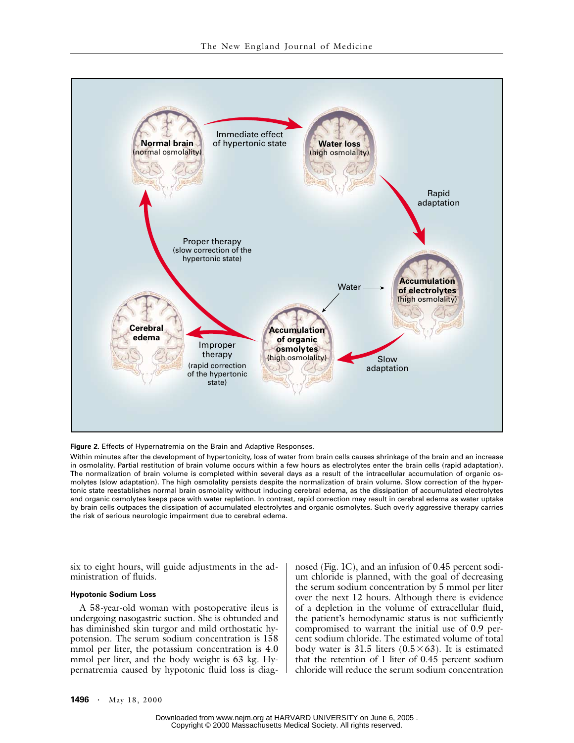

**Figure 2.** Effects of Hypernatremia on the Brain and Adaptive Responses.

Within minutes after the development of hypertonicity, loss of water from brain cells causes shrinkage of the brain and an increase in osmolality. Partial restitution of brain volume occurs within a few hours as electrolytes enter the brain cells (rapid adaptation). The normalization of brain volume is completed within several days as a result of the intracellular accumulation of organic osmolytes (slow adaptation). The high osmolality persists despite the normalization of brain volume. Slow correction of the hypertonic state reestablishes normal brain osmolality without inducing cerebral edema, as the dissipation of accumulated electrolytes and organic osmolytes keeps pace with water repletion. In contrast, rapid correction may result in cerebral edema as water uptake by brain cells outpaces the dissipation of accumulated electrolytes and organic osmolytes. Such overly aggressive therapy carries the risk of serious neurologic impairment due to cerebral edema.

six to eight hours, will guide adjustments in the administration of fluids.

## **Hypotonic Sodium Loss**

A 58-year-old woman with postoperative ileus is undergoing nasogastric suction. She is obtunded and has diminished skin turgor and mild orthostatic hypotension. The serum sodium concentration is 158 mmol per liter, the potassium concentration is 4.0 mmol per liter, and the body weight is 63 kg. Hypernatremia caused by hypotonic fluid loss is diagnosed (Fig. 1C), and an infusion of 0.45 percent sodium chloride is planned, with the goal of decreasing the serum sodium concentration by 5 mmol per liter over the next 12 hours. Although there is evidence of a depletion in the volume of extracellular fluid, the patient's hemodynamic status is not sufficiently compromised to warrant the initial use of 0.9 percent sodium chloride. The estimated volume of total body water is 31.5 liters  $(0.5 \times 63)$ . It is estimated that the retention of 1 liter of 0.45 percent sodium chloride will reduce the serum sodium concentration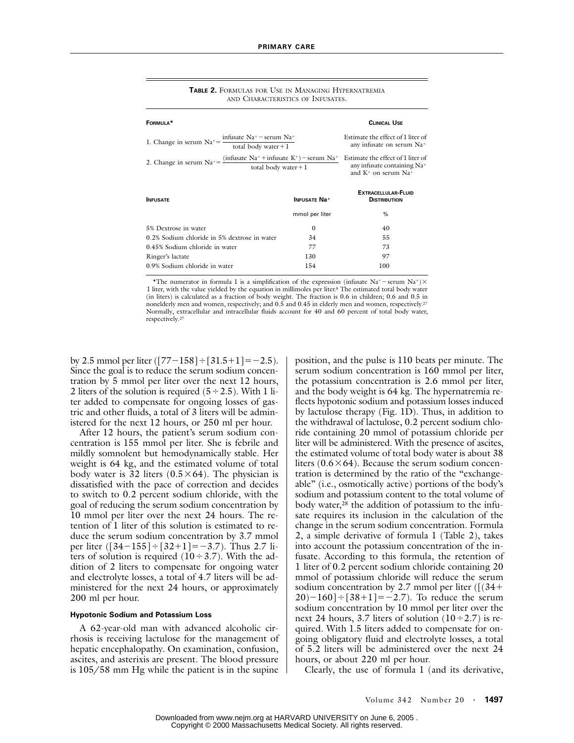| FORMULA*                                                                                                  |                     | <b>CLINICAL USE</b>                                                                           |
|-----------------------------------------------------------------------------------------------------------|---------------------|-----------------------------------------------------------------------------------------------|
| infusate $Na^+$ – serum $Na^+$<br>1. Change in serum $Na^+=$<br>total body water + $1$                    |                     | Estimate the effect of 1 liter of<br>any infusate on serum Na <sup>+</sup>                    |
| 2. Change in serum $Na^+ = \frac{(infusate\ Na^+ + infusate\ K^+)-$ serum $Na^+$<br>total body water $+1$ |                     | Estimate the effect of 1 liter of<br>any infusate containing Na+<br>and $K^+$ on serum $Na^+$ |
| <b>INFUSATE</b>                                                                                           | <b>INFUSATE Na+</b> | <b>EXTRACELLULAR-FLUID</b><br><b>DISTRIBUTION</b>                                             |
|                                                                                                           | mmol per liter      | %                                                                                             |
| 5% Dextrose in water                                                                                      | 0                   | 40                                                                                            |
| 0.2% Sodium chloride in 5% dextrose in water                                                              | 34                  | 55                                                                                            |
| 0.45% Sodium chloride in water                                                                            | 77                  | 73                                                                                            |
| Ringer's lactate                                                                                          | 130                 | 97                                                                                            |
| 0.9% Sodium chloride in water                                                                             | 154                 | 100                                                                                           |

## **TABLE 2.** FORMULAS FOR USE IN MANAGING HYPERNATREMIA AND CHARACTERISTICS OF INFUSATES.

\*The numerator in formula 1 is a simplification of the expression (infusate Na+-serum Na+) $\times$ 1 liter, with the value yielded by the equation in millimoles per liter.8 The estimated total body water (in liters) is calculated as a fraction of body weight. The fraction is 0.6 in children; 0.6 and 0.5 in nonelderly men and women, respectively; and 0.5 and 0.45 in elderly men and women, respectively.27 Normally, extracellular and intracellular fluids account for 40 and 60 percent of total body water, respectively.27

by 2.5 mmol per liter ( $[77-158] \div [31.5+1]=-2.5$ ). Since the goal is to reduce the serum sodium concentration by 5 mmol per liter over the next 12 hours, 2 liters of the solution is required  $(5 \div 2.5)$ . With 1 liter added to compensate for ongoing losses of gastric and other fluids, a total of 3 liters will be administered for the next 12 hours, or 250 ml per hour.

After 12 hours, the patient's serum sodium concentration is 155 mmol per liter. She is febrile and mildly somnolent but hemodynamically stable. Her weight is 64 kg, and the estimated volume of total body water is 32 liters  $(0.5 \times 64)$ . The physician is dissatisfied with the pace of correction and decides to switch to 0.2 percent sodium chloride, with the goal of reducing the serum sodium concentration by 10 mmol per liter over the next 24 hours. The retention of 1 liter of this solution is estimated to reduce the serum sodium concentration by 3.7 mmol per liter  $([34-155] \div [32+1]=-3.7)$ . Thus 2.7 liters of solution is required  $(10 \div 3.7)$ . With the addition of 2 liters to compensate for ongoing water and electrolyte losses, a total of 4.7 liters will be administered for the next 24 hours, or approximately 200 ml per hour.

### **Hypotonic Sodium and Potassium Loss**

A 62-year-old man with advanced alcoholic cirrhosis is receiving lactulose for the management of hepatic encephalopathy. On examination, confusion, ascites, and asterixis are present. The blood pressure is 105/58 mm Hg while the patient is in the supine

position, and the pulse is 110 beats per minute. The serum sodium concentration is 160 mmol per liter, the potassium concentration is 2.6 mmol per liter, and the body weight is 64 kg. The hypernatremia reflects hypotonic sodium and potassium losses induced by lactulose therapy (Fig. 1D). Thus, in addition to the withdrawal of lactulose, 0.2 percent sodium chloride containing 20 mmol of potassium chloride per liter will be administered. With the presence of ascites, the estimated volume of total body water is about 38 liters  $(0.6\times64)$ . Because the serum sodium concentration is determined by the ratio of the "exchangeable" (i.e., osmotically active) portions of the body's sodium and potassium content to the total volume of body water,<sup>28</sup> the addition of potassium to the infusate requires its inclusion in the calculation of the change in the serum sodium concentration. Formula 2, a simple derivative of formula 1 (Table 2), takes into account the potassium concentration of the infusate. According to this formula, the retention of 1 liter of 0.2 percent sodium chloride containing 20 mmol of potassium chloride will reduce the serum sodium concentration by 2.7 mmol per liter ( $\int (34+$  $20) - 160$ ] ÷ [38 + 1] = -2.7). To reduce the serum sodium concentration by 10 mmol per liter over the next 24 hours, 3.7 liters of solution  $(10 \div 2.7)$  is required. With 1.5 liters added to compensate for ongoing obligatory fluid and electrolyte losses, a total of 5.2 liters will be administered over the next 24 hours, or about 220 ml per hour.

Clearly, the use of formula 1 (and its derivative,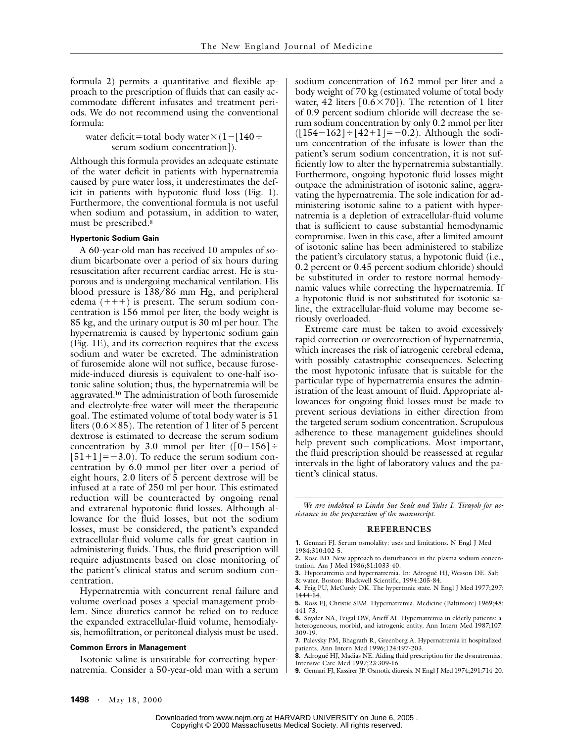formula 2) permits a quantitative and flexible approach to the prescription of fluids that can easily accommodate different infusates and treatment periods. We do not recommend using the conventional formula:

water deficit=total body water $\times(1-[140 \div$ serum sodium concentration]).

Although this formula provides an adequate estimate of the water deficit in patients with hypernatremia caused by pure water loss, it underestimates the deficit in patients with hypotonic fluid loss (Fig. 1). Furthermore, the conventional formula is not useful when sodium and potassium, in addition to water, must be prescribed.8

## **Hypertonic Sodium Gain**

A 60-year-old man has received 10 ampules of sodium bicarbonate over a period of six hours during resuscitation after recurrent cardiac arrest. He is stuporous and is undergoing mechanical ventilation. His blood pressure is 138/86 mm Hg, and peripheral edema (+++) is present. The serum sodium concentration is 156 mmol per liter, the body weight is 85 kg, and the urinary output is 30 ml per hour. The hypernatremia is caused by hypertonic sodium gain (Fig. 1E), and its correction requires that the excess sodium and water be excreted. The administration of furosemide alone will not suffice, because furosemide-induced diuresis is equivalent to one-half isotonic saline solution; thus, the hypernatremia will be aggravated.10 The administration of both furosemide and electrolyte-free water will meet the therapeutic goal. The estimated volume of total body water is 51 liters  $(0.6\times85)$ . The retention of 1 liter of 5 percent dextrose is estimated to decrease the serum sodium concentration by 3.0 mmol per liter ( $[0-156] \div$  $[51+1]=-3.0$ ). To reduce the serum sodium concentration by 6.0 mmol per liter over a period of eight hours, 2.0 liters of 5 percent dextrose will be infused at a rate of 250 ml per hour. This estimated reduction will be counteracted by ongoing renal and extrarenal hypotonic fluid losses. Although allowance for the fluid losses, but not the sodium losses, must be considered, the patient's expanded extracellular-fluid volume calls for great caution in administering fluids. Thus, the fluid prescription will require adjustments based on close monitoring of the patient's clinical status and serum sodium concentration.

Hypernatremia with concurrent renal failure and volume overload poses a special management problem. Since diuretics cannot be relied on to reduce the expanded extracellular-fluid volume, hemodialysis, hemofiltration, or peritoneal dialysis must be used.

#### **Common Errors in Management**

Isotonic saline is unsuitable for correcting hypernatremia. Consider a 50-year-old man with a serum sodium concentration of 162 mmol per liter and a body weight of 70 kg (estimated volume of total body water, 42 liters  $[0.6 \times 70]$ ). The retention of 1 liter of 0.9 percent sodium chloride will decrease the serum sodium concentration by only 0.2 mmol per liter  $([154-162] \div [42+1]=-0.2)$ . Although the sodium concentration of the infusate is lower than the patient's serum sodium concentration, it is not sufficiently low to alter the hypernatremia substantially. Furthermore, ongoing hypotonic fluid losses might outpace the administration of isotonic saline, aggravating the hypernatremia. The sole indication for administering isotonic saline to a patient with hypernatremia is a depletion of extracellular-fluid volume that is sufficient to cause substantial hemodynamic compromise. Even in this case, after a limited amount of isotonic saline has been administered to stabilize the patient's circulatory status, a hypotonic fluid (i.e., 0.2 percent or 0.45 percent sodium chloride) should be substituted in order to restore normal hemodynamic values while correcting the hypernatremia. If a hypotonic fluid is not substituted for isotonic saline, the extracellular-fluid volume may become seriously overloaded.

Extreme care must be taken to avoid excessively rapid correction or overcorrection of hypernatremia, which increases the risk of iatrogenic cerebral edema, with possibly catastrophic consequences. Selecting the most hypotonic infusate that is suitable for the particular type of hypernatremia ensures the administration of the least amount of fluid. Appropriate allowances for ongoing fluid losses must be made to prevent serious deviations in either direction from the targeted serum sodium concentration. Scrupulous adherence to these management guidelines should help prevent such complications. Most important, the fluid prescription should be reassessed at regular intervals in the light of laboratory values and the patient's clinical status.

*We are indebted to Linda Sue Seals and Yulie I. Tirayoh for assistance in the preparation of the manuscript.*

#### **REFERENCES**

**1.** Gennari FJ. Serum osmolality: uses and limitations. N Engl J Med 1984;310:102-5.

**2.** Rose BD. New approach to disturbances in the plasma sodium concentration. Am J Med 1986;81:1033-40.

**3.** Hyponatremia and hypernatremia. In: Adrogué HJ, Wesson DE. Salt

& water. Boston: Blackwell Scientific, 1994:205-84.

**4.** Feig PU, McCurdy DK. The hypertonic state. N Engl J Med 1977;297: 1444-54.

**5.** Ross EJ, Christie SBM. Hypernatremia. Medicine (Baltimore) 1969;48: 441-73.

**6.** Snyder NA, Feigal DW, Arieff AI. Hypernatremia in elderly patients: a heterogeneous, morbid, and iatrogenic entity. Ann Intern Med 1987;107: 309-19.

**7.** Palevsky PM, Bhagrath R, Greenberg A. Hypernatremia in hospitalized patients. Ann Intern Med 1996;124:197-203.

**8.** Adrogué HJ, Madias NE. Aiding fluid prescription for the dysnatremias. Intensive Care Med 1997;23:309-16.

**9.** Gennari FJ, Kassirer JP. Osmotic diuresis. N Engl J Med 1974;291:714-20.